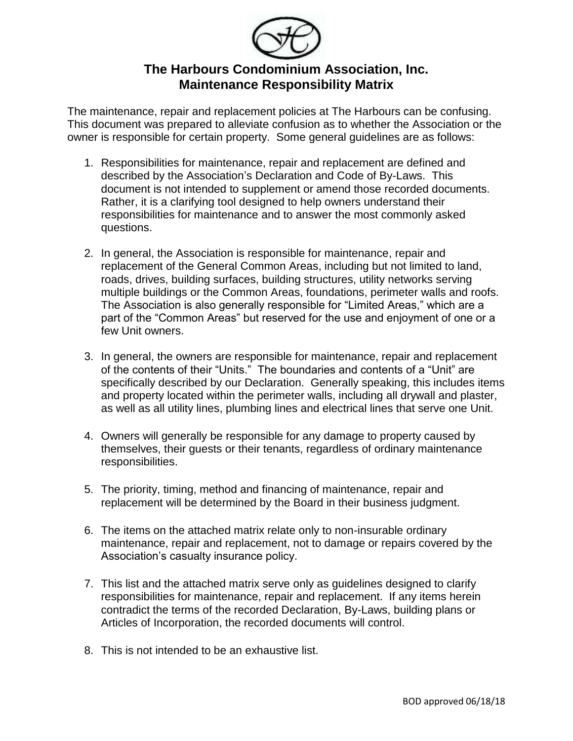

## **The Harbours Condominium Association, Inc. Maintenance Responsibility Matrix**

The maintenance, repair and replacement policies at The Harbours can be confusing. This document was prepared to alleviate confusion as to whether the Association or the owner is responsible for certain property. Some general guidelines are as follows:

- 1. Responsibilities for maintenance, repair and replacement are defined and described by the Association's Declaration and Code of By-Laws. This document is not intended to supplement or amend those recorded documents. Rather, it is a clarifying tool designed to help owners understand their responsibilities for maintenance and to answer the most commonly asked questions.
- 2. In general, the Association is responsible for maintenance, repair and replacement of the General Common Areas, including but not limited to land, roads, drives, building surfaces, building structures, utility networks serving multiple buildings or the Common Areas, foundations, perimeter walls and roofs. The Association is also generally responsible for "Limited Areas," which are a part of the "Common Areas" but reserved for the use and enjoyment of one or a few Unit owners.
- 3. In general, the owners are responsible for maintenance, repair and replacement of the contents of their "Units." The boundaries and contents of a "Unit" are specifically described by our Declaration. Generally speaking, this includes items and property located within the perimeter walls, including all drywall and plaster, as well as all utility lines, plumbing lines and electrical lines that serve one Unit.
- 4. Owners will generally be responsible for any damage to property caused by themselves, their guests or their tenants, regardless of ordinary maintenance responsibilities.
- 5. The priority, timing, method and financing of maintenance, repair and replacement will be determined by the Board in their business judgment.
- 6. The items on the attached matrix relate only to non-insurable ordinary maintenance, repair and replacement, not to damage or repairs covered by the Association's casualty insurance policy.
- 7. This list and the attached matrix serve only as guidelines designed to clarify responsibilities for maintenance, repair and replacement. If any items herein contradict the terms of the recorded Declaration, By-Laws, building plans or Articles of Incorporation, the recorded documents will control.
- 8. This is not intended to be an exhaustive list.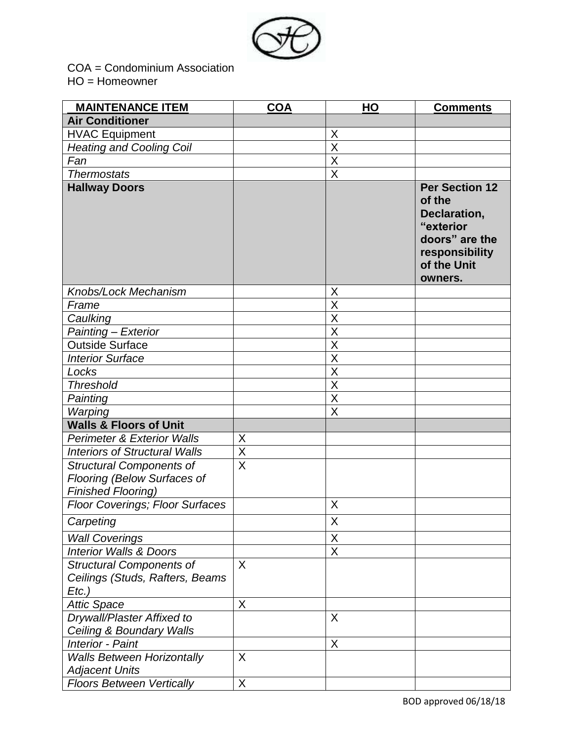

COA = Condominium Association HO = Homeowner

| <b>MAINTENANCE ITEM</b>                                                                     | <b>COA</b>              | HO                      | <b>Comments</b>                                                                                                            |
|---------------------------------------------------------------------------------------------|-------------------------|-------------------------|----------------------------------------------------------------------------------------------------------------------------|
| <b>Air Conditioner</b>                                                                      |                         |                         |                                                                                                                            |
| <b>HVAC Equipment</b>                                                                       |                         | X                       |                                                                                                                            |
| <b>Heating and Cooling Coil</b>                                                             |                         | $\sf X$                 |                                                                                                                            |
| Fan                                                                                         |                         | $\overline{\mathsf{X}}$ |                                                                                                                            |
| <b>Thermostats</b>                                                                          |                         | X                       |                                                                                                                            |
| <b>Hallway Doors</b>                                                                        |                         |                         | <b>Per Section 12</b><br>of the<br>Declaration,<br>"exterior<br>doors" are the<br>responsibility<br>of the Unit<br>owners. |
| Knobs/Lock Mechanism                                                                        |                         | X                       |                                                                                                                            |
| Frame                                                                                       |                         | X                       |                                                                                                                            |
| Caulking                                                                                    |                         | $\overline{\mathsf{X}}$ |                                                                                                                            |
| Painting - Exterior                                                                         |                         | X                       |                                                                                                                            |
| <b>Outside Surface</b>                                                                      |                         | $\overline{\mathsf{x}}$ |                                                                                                                            |
| <b>Interior Surface</b>                                                                     |                         | $\overline{\mathsf{x}}$ |                                                                                                                            |
| Locks                                                                                       |                         | X                       |                                                                                                                            |
| <b>Threshold</b>                                                                            |                         | $\overline{\mathsf{x}}$ |                                                                                                                            |
| Painting                                                                                    |                         | $\overline{\mathsf{X}}$ |                                                                                                                            |
| Warping                                                                                     |                         | $\overline{\mathsf{X}}$ |                                                                                                                            |
| <b>Walls &amp; Floors of Unit</b>                                                           |                         |                         |                                                                                                                            |
| <b>Perimeter &amp; Exterior Walls</b>                                                       | X                       |                         |                                                                                                                            |
| <b>Interiors of Structural Walls</b>                                                        | $\overline{\mathsf{X}}$ |                         |                                                                                                                            |
| <b>Structural Components of</b><br>Flooring (Below Surfaces of<br><b>Finished Flooring)</b> | $\overline{\mathsf{x}}$ |                         |                                                                                                                            |
| <b>Floor Coverings; Floor Surfaces</b>                                                      |                         | X                       |                                                                                                                            |
| Carpeting                                                                                   |                         | $\overline{\mathsf{X}}$ |                                                                                                                            |
|                                                                                             |                         | X                       |                                                                                                                            |
| <b>Wall Coverings</b><br><b>Interior Walls &amp; Doors</b>                                  |                         | X                       |                                                                                                                            |
|                                                                                             | X                       |                         |                                                                                                                            |
| <b>Structural Components of</b><br>Ceilings (Studs, Rafters, Beams<br>$Etc.$ )              |                         |                         |                                                                                                                            |
| <b>Attic Space</b>                                                                          | X                       |                         |                                                                                                                            |
| Drywall/Plaster Affixed to<br>Ceiling & Boundary Walls                                      |                         | X                       |                                                                                                                            |
| <b>Interior - Paint</b>                                                                     |                         | X                       |                                                                                                                            |
| <b>Walls Between Horizontally</b><br><b>Adjacent Units</b>                                  | X                       |                         |                                                                                                                            |
| <b>Floors Between Vertically</b>                                                            | X                       |                         |                                                                                                                            |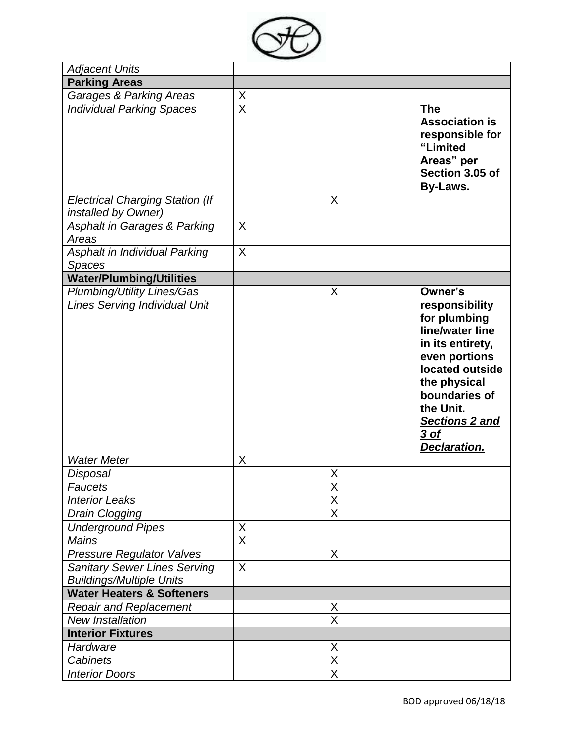

| <b>Adjacent Units</b>                                                     |                         |                         |                                                                                                                                                                                                                     |
|---------------------------------------------------------------------------|-------------------------|-------------------------|---------------------------------------------------------------------------------------------------------------------------------------------------------------------------------------------------------------------|
| <b>Parking Areas</b>                                                      |                         |                         |                                                                                                                                                                                                                     |
| <b>Garages &amp; Parking Areas</b>                                        | X                       |                         |                                                                                                                                                                                                                     |
| <b>Individual Parking Spaces</b>                                          | $\overline{\mathsf{X}}$ |                         | <b>The</b><br><b>Association is</b><br>responsible for<br>"Limited<br>Areas" per<br>Section 3.05 of<br><b>By-Laws.</b>                                                                                              |
| <b>Electrical Charging Station (If</b><br>installed by Owner)             |                         | X                       |                                                                                                                                                                                                                     |
| <b>Asphalt in Garages &amp; Parking</b><br>Areas                          | X                       |                         |                                                                                                                                                                                                                     |
| Asphalt in Individual Parking<br><b>Spaces</b>                            | X                       |                         |                                                                                                                                                                                                                     |
| <b>Water/Plumbing/Utilities</b>                                           |                         |                         |                                                                                                                                                                                                                     |
| <b>Plumbing/Utility Lines/Gas</b><br><b>Lines Serving Individual Unit</b> |                         | X                       | Owner's<br>responsibility<br>for plumbing<br>line/water line<br>in its entirety,<br>even portions<br>located outside<br>the physical<br>boundaries of<br>the Unit.<br>Sections 2 and<br>3 of<br><b>Declaration.</b> |
| <b>Water Meter</b>                                                        | X                       |                         |                                                                                                                                                                                                                     |
| Disposal                                                                  |                         | X                       |                                                                                                                                                                                                                     |
| <b>Faucets</b>                                                            |                         | X                       |                                                                                                                                                                                                                     |
| <b>Interior Leaks</b>                                                     |                         | $\overline{\mathsf{X}}$ |                                                                                                                                                                                                                     |
| Drain Clogging                                                            |                         | X                       |                                                                                                                                                                                                                     |
| <b>Underground Pipes</b>                                                  | X                       |                         |                                                                                                                                                                                                                     |
| <b>Mains</b>                                                              | $\overline{\mathsf{x}}$ |                         |                                                                                                                                                                                                                     |
| Pressure Regulator Valves                                                 |                         | X                       |                                                                                                                                                                                                                     |
| <b>Sanitary Sewer Lines Serving</b><br><b>Buildings/Multiple Units</b>    | X                       |                         |                                                                                                                                                                                                                     |
| <b>Water Heaters &amp; Softeners</b>                                      |                         |                         |                                                                                                                                                                                                                     |
| <b>Repair and Replacement</b>                                             |                         | X                       |                                                                                                                                                                                                                     |
| <b>New Installation</b>                                                   |                         | $\overline{\mathsf{x}}$ |                                                                                                                                                                                                                     |
| <b>Interior Fixtures</b>                                                  |                         |                         |                                                                                                                                                                                                                     |
| Hardware                                                                  |                         | X                       |                                                                                                                                                                                                                     |
| Cabinets                                                                  |                         | X                       |                                                                                                                                                                                                                     |
| <b>Interior Doors</b>                                                     |                         | $\overline{X}$          |                                                                                                                                                                                                                     |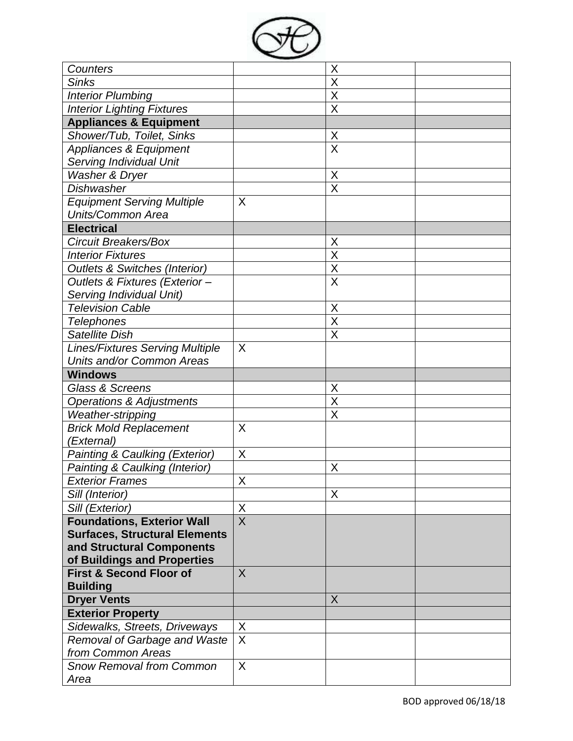

| Counters                                 |                              | Χ                       |  |
|------------------------------------------|------------------------------|-------------------------|--|
| <b>Sinks</b>                             |                              | X                       |  |
| <b>Interior Plumbing</b>                 |                              | $\overline{\mathsf{x}}$ |  |
| <b>Interior Lighting Fixtures</b>        |                              | X                       |  |
| <b>Appliances &amp; Equipment</b>        |                              |                         |  |
| Shower/Tub, Toilet, Sinks                |                              | X                       |  |
| Appliances & Equipment                   |                              | X                       |  |
| Serving Individual Unit                  |                              |                         |  |
| Washer & Dryer                           |                              | X                       |  |
| <b>Dishwasher</b>                        |                              | $\overline{\mathsf{x}}$ |  |
| <b>Equipment Serving Multiple</b>        | X                            |                         |  |
| Units/Common Area                        |                              |                         |  |
| <b>Electrical</b>                        |                              |                         |  |
| <b>Circuit Breakers/Box</b>              |                              | X                       |  |
| <b>Interior Fixtures</b>                 |                              | X                       |  |
| <b>Outlets &amp; Switches (Interior)</b> |                              | X                       |  |
| Outlets & Fixtures (Exterior-            |                              | X                       |  |
| Serving Individual Unit)                 |                              |                         |  |
| <b>Television Cable</b>                  |                              | X                       |  |
| <b>Telephones</b>                        |                              | $\overline{\mathsf{x}}$ |  |
| Satellite Dish                           |                              | Χ                       |  |
| <b>Lines/Fixtures Serving Multiple</b>   | X                            |                         |  |
| Units and/or Common Areas                |                              |                         |  |
| <b>Windows</b>                           |                              |                         |  |
| <b>Glass &amp; Screens</b>               |                              | X                       |  |
| <b>Operations &amp; Adjustments</b>      |                              | X                       |  |
| Weather-stripping                        |                              | X                       |  |
| <b>Brick Mold Replacement</b>            | X                            |                         |  |
| 'External)                               |                              |                         |  |
| Painting & Caulking (Exterior)           | X                            |                         |  |
| Painting & Caulking (Interior)           |                              | Χ                       |  |
| <b>Exterior Frames</b>                   | X                            |                         |  |
| Sill (Interior)                          |                              | X                       |  |
| Sill (Exterior)                          | $\sf X$                      |                         |  |
| <b>Foundations, Exterior Wall</b>        | $\overline{X}$               |                         |  |
| <b>Surfaces, Structural Elements</b>     |                              |                         |  |
| and Structural Components                |                              |                         |  |
| of Buildings and Properties              |                              |                         |  |
| <b>First &amp; Second Floor of</b>       | X                            |                         |  |
| <b>Building</b>                          |                              |                         |  |
| <b>Dryer Vents</b>                       |                              | X                       |  |
| <b>Exterior Property</b>                 |                              |                         |  |
| Sidewalks, Streets, Driveways            | X<br>$\overline{\mathsf{x}}$ |                         |  |
| Removal of Garbage and Waste             |                              |                         |  |
| from Common Areas                        | X                            |                         |  |
| <b>Snow Removal from Common</b><br>Area  |                              |                         |  |
|                                          |                              |                         |  |